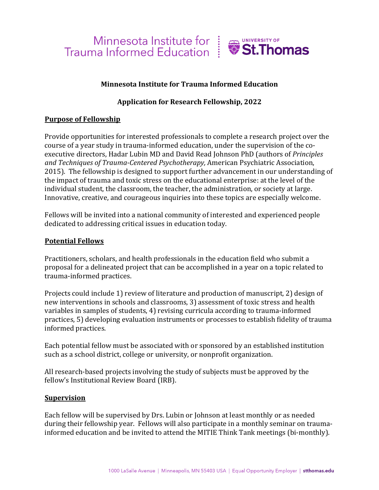

## **Minnesota Institute for Trauma Informed Education**

# **Application for Research Fellowship, 2022**

## **Purpose of Fellowship**

Provide opportunities for interested professionals to complete a research project over the course of a year study in trauma-informed education, under the supervision of the coexecutive directors, Hadar Lubin MD and David Read Johnson PhD (authors of *Principles and Techniques of Trauma-Centered Psychotherapy,* American Psychiatric Association, 2015). The fellowship is designed to support further advancement in our understanding of the impact of trauma and toxic stress on the educational enterprise: at the level of the individual student, the classroom, the teacher, the administration, or society at large. Innovative, creative, and courageous inquiries into these topics are especially welcome.

Fellows will be invited into a national community of interested and experienced people dedicated to addressing critical issues in education today.

#### **Potential Fellows**

Practitioners, scholars, and health professionals in the education field who submit a proposal for a delineated project that can be accomplished in a year on a topic related to trauma-informed practices.

Projects could include 1) review of literature and production of manuscript, 2) design of new interventions in schools and classrooms, 3) assessment of toxic stress and health variables in samples of students, 4) revising curricula according to trauma-informed practices, 5) developing evaluation instruments or processes to establish fidelity of trauma informed practices.

Each potential fellow must be associated with or sponsored by an established institution such as a school district, college or university, or nonprofit organization.

All research-based projects involving the study of subjects must be approved by the fellow's Institutional Review Board (IRB).

#### **Supervision**

Each fellow will be supervised by Drs. Lubin or Johnson at least monthly or as needed during their fellowship year. Fellows will also participate in a monthly seminar on traumainformed education and be invited to attend the MITIE Think Tank meetings (bi-monthly).